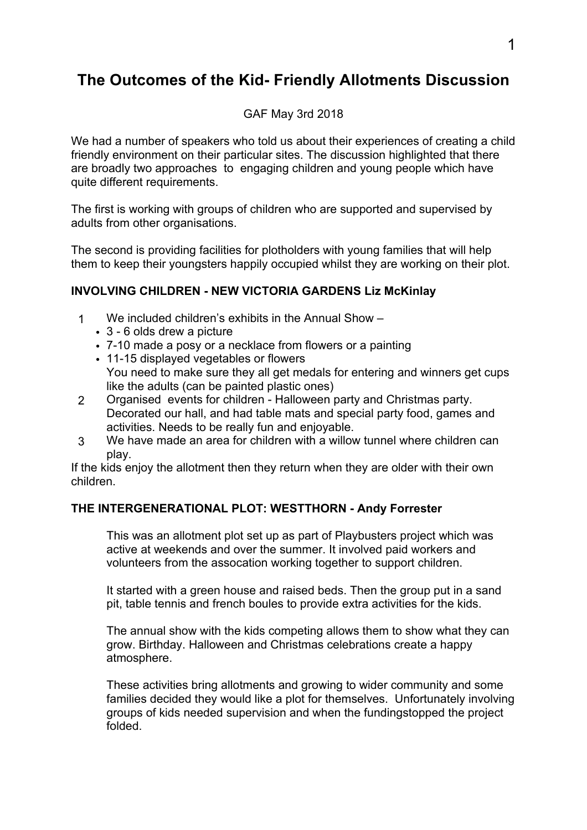# **The Outcomes of the Kid- Friendly Allotments Discussion**

### GAF May 3rd 2018

We had a number of speakers who told us about their experiences of creating a child friendly environment on their particular sites. The discussion highlighted that there are broadly two approaches to engaging children and young people which have quite different requirements.

The first is working with groups of children who are supported and supervised by adults from other organisations.

The second is providing facilities for plotholders with young families that will help them to keep their youngsters happily occupied whilst they are working on their plot.

## **INVOLVING CHILDREN - NEW VICTORIA GARDENS Liz McKinlay**

- 1 We included children's exhibits in the Annual Show
	- 3 6 olds drew a picture
	- 7-10 made a posy or a necklace from flowers or a painting
	- 11-15 displayed vegetables or flowers You need to make sure they all get medals for entering and winners get cups like the adults (can be painted plastic ones)
- 2 Organised events for children Halloween party and Christmas party. Decorated our hall, and had table mats and special party food, games and activities. Needs to be really fun and enjoyable.
- 3 We have made an area for children with a willow tunnel where children can play.

If the kids enjoy the allotment then they return when they are older with their own children.

### **THE INTERGENERATIONAL PLOT: WESTTHORN - Andy Forrester**

This was an allotment plot set up as part of Playbusters project which was active at weekends and over the summer. It involved paid workers and volunteers from the assocation working together to support children.

It started with a green house and raised beds. Then the group put in a sand pit, table tennis and french boules to provide extra activities for the kids.

The annual show with the kids competing allows them to show what they can grow. Birthday. Halloween and Christmas celebrations create a happy atmosphere.

These activities bring allotments and growing to wider community and some families decided they would like a plot for themselves. Unfortunately involving groups of kids needed supervision and when the fundingstopped the project folded.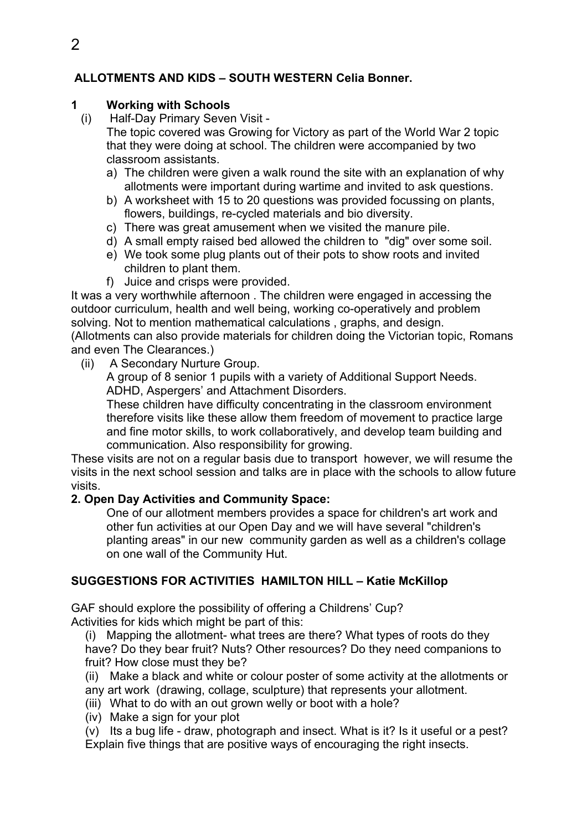# **ALLOTMENTS AND KIDS – SOUTH WESTERN Celia Bonner.**

### **1 Working with Schools**

(i) Half-Day Primary Seven Visit -

The topic covered was Growing for Victory as part of the World War 2 topic that they were doing at school. The children were accompanied by two classroom assistants.

- a) The children were given a walk round the site with an explanation of why allotments were important during wartime and invited to ask questions.
- b) A worksheet with 15 to 20 questions was provided focussing on plants, flowers, buildings, re-cycled materials and bio diversity.
- c) There was great amusement when we visited the manure pile.
- d) A small empty raised bed allowed the children to "dig" over some soil.
- e) We took some plug plants out of their pots to show roots and invited children to plant them.
- f) Juice and crisps were provided.

It was a very worthwhile afternoon . The children were engaged in accessing the outdoor curriculum, health and well being, working co-operatively and problem solving. Not to mention mathematical calculations , graphs, and design. (Allotments can also provide materials for children doing the Victorian topic, Romans and even The Clearances.)

(ii) A Secondary Nurture Group.

A group of 8 senior 1 pupils with a variety of Additional Support Needs. ADHD, Aspergers' and Attachment Disorders.

These children have difficulty concentrating in the classroom environment therefore visits like these allow them freedom of movement to practice large and fine motor skills, to work collaboratively, and develop team building and communication. Also responsibility for growing.

These visits are not on a regular basis due to transport however, we will resume the visits in the next school session and talks are in place with the schools to allow future visits.

## **2. Open Day Activities and Community Space:**

One of our allotment members provides a space for children's art work and other fun activities at our Open Day and we will have several "children's planting areas" in our new community garden as well as a children's collage on one wall of the Community Hut.

# **SUGGESTIONS FOR ACTIVITIES HAMILTON HILL – Katie McKillop**

GAF should explore the possibility of offering a Childrens' Cup? Activities for kids which might be part of this:

(i) Mapping the allotment- what trees are there? What types of roots do they have? Do they bear fruit? Nuts? Other resources? Do they need companions to fruit? How close must they be?

(ii) Make a black and white or colour poster of some activity at the allotments or any art work (drawing, collage, sculpture) that represents your allotment.

- (iii) What to do with an out grown welly or boot with a hole?
- (iv) Make a sign for your plot

(v) Its a bug life - draw, photograph and insect. What is it? Is it useful or a pest? Explain five things that are positive ways of encouraging the right insects.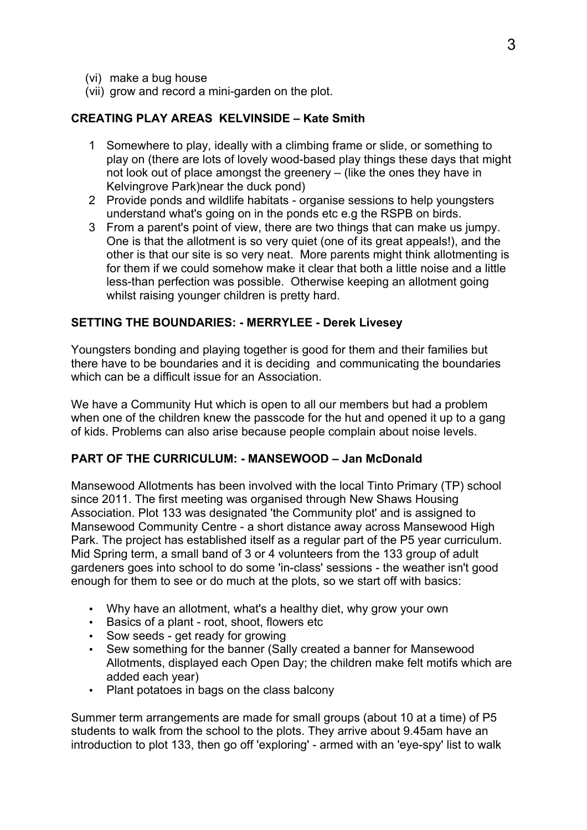- (vi) make a bug house
- (vii) grow and record a mini-garden on the plot.

### **CREATING PLAY AREAS KELVINSIDE – Kate Smith**

- 1 Somewhere to play, ideally with a climbing frame or slide, or something to play on (there are lots of lovely wood-based play things these days that might not look out of place amongst the greenery – (like the ones they have in Kelvingrove Park)near the duck pond)
- 2 Provide ponds and wildlife habitats organise sessions to help youngsters understand what's going on in the ponds etc e.g the RSPB on birds.
- 3 From a parent's point of view, there are two things that can make us jumpy. One is that the allotment is so very quiet (one of its great appeals!), and the other is that our site is so very neat. More parents might think allotmenting is for them if we could somehow make it clear that both a little noise and a little less-than perfection was possible. Otherwise keeping an allotment going whilst raising younger children is pretty hard.

### **SETTING THE BOUNDARIES: - MERRYLEE - Derek Livesey**

Youngsters bonding and playing together is good for them and their families but there have to be boundaries and it is deciding and communicating the boundaries which can be a difficult issue for an Association.

We have a Community Hut which is open to all our members but had a problem when one of the children knew the passcode for the hut and opened it up to a gang of kids. Problems can also arise because people complain about noise levels.

#### **PART OF THE CURRICULUM: - MANSEWOOD – Jan McDonald**

Mansewood Allotments has been involved with the local Tinto Primary (TP) school since 2011. The first meeting was organised through New Shaws Housing Association. Plot 133 was designated 'the Community plot' and is assigned to Mansewood Community Centre - a short distance away across Mansewood High Park. The project has established itself as a regular part of the P5 year curriculum. Mid Spring term, a small band of 3 or 4 volunteers from the 133 group of adult gardeners goes into school to do some 'in-class' sessions - the weather isn't good enough for them to see or do much at the plots, so we start off with basics:

- Why have an allotment, what's a healthy diet, why grow your own
- Basics of a plant root, shoot, flowers etc
- Sow seeds get ready for growing
- Sew something for the banner (Sally created a banner for Mansewood Allotments, displayed each Open Day; the children make felt motifs which are added each year)
- Plant potatoes in bags on the class balcony

Summer term arrangements are made for small groups (about 10 at a time) of P5 students to walk from the school to the plots. They arrive about 9.45am have an introduction to plot 133, then go off 'exploring' - armed with an 'eye-spy' list to walk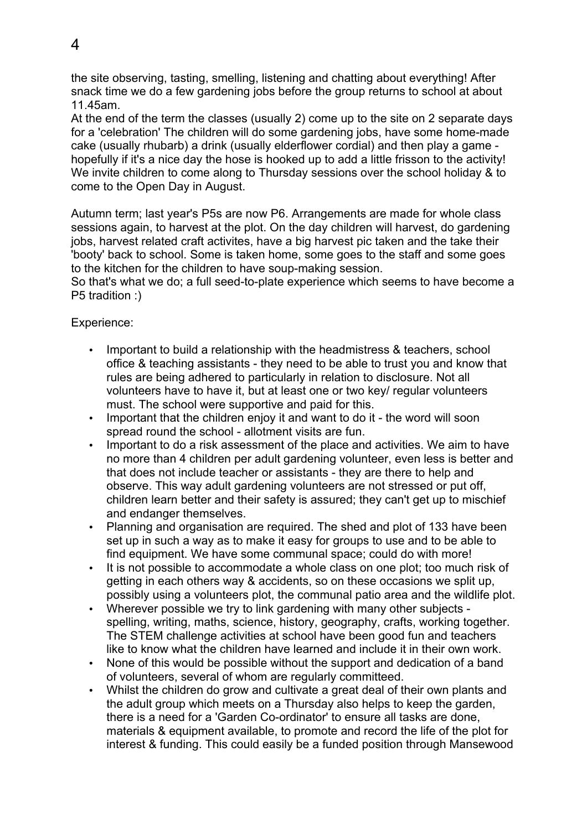the site observing, tasting, smelling, listening and chatting about everything! After snack time we do a few gardening jobs before the group returns to school at about 11.45am.

At the end of the term the classes (usually 2) come up to the site on 2 separate days for a 'celebration' The children will do some gardening jobs, have some home-made cake (usually rhubarb) a drink (usually elderflower cordial) and then play a game hopefully if it's a nice day the hose is hooked up to add a little frisson to the activity! We invite children to come along to Thursday sessions over the school holiday & to come to the Open Day in August.

Autumn term; last year's P5s are now P6. Arrangements are made for whole class sessions again, to harvest at the plot. On the day children will harvest, do gardening jobs, harvest related craft activites, have a big harvest pic taken and the take their 'booty' back to school. Some is taken home, some goes to the staff and some goes to the kitchen for the children to have soup-making session.

So that's what we do; a full seed-to-plate experience which seems to have become a P5 tradition :)

Experience:

- Important to build a relationship with the headmistress & teachers, school office & teaching assistants - they need to be able to trust you and know that rules are being adhered to particularly in relation to disclosure. Not all volunteers have to have it, but at least one or two key/ regular volunteers must. The school were supportive and paid for this.
- Important that the children enjoy it and want to do it the word will soon spread round the school - allotment visits are fun.
- Important to do a risk assessment of the place and activities. We aim to have no more than 4 children per adult gardening volunteer, even less is better and that does not include teacher or assistants - they are there to help and observe. This way adult gardening volunteers are not stressed or put off, children learn better and their safety is assured; they can't get up to mischief and endanger themselves.
- Planning and organisation are required. The shed and plot of 133 have been set up in such a way as to make it easy for groups to use and to be able to find equipment. We have some communal space; could do with more!
- It is not possible to accommodate a whole class on one plot; too much risk of getting in each others way & accidents, so on these occasions we split up, possibly using a volunteers plot, the communal patio area and the wildlife plot.
- Wherever possible we try to link gardening with many other subjects spelling, writing, maths, science, history, geography, crafts, working together. The STEM challenge activities at school have been good fun and teachers like to know what the children have learned and include it in their own work.
- None of this would be possible without the support and dedication of a band of volunteers, several of whom are regularly committeed.
- Whilst the children do grow and cultivate a great deal of their own plants and the adult group which meets on a Thursday also helps to keep the garden, there is a need for a 'Garden Co-ordinator' to ensure all tasks are done, materials & equipment available, to promote and record the life of the plot for interest & funding. This could easily be a funded position through Mansewood